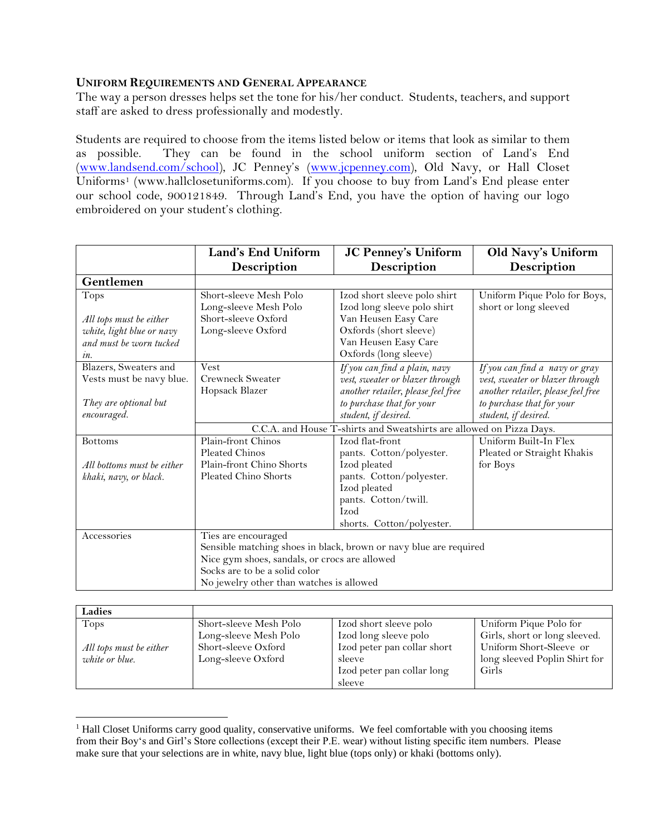## **UNIFORM REQUIREMENTS AND GENERAL APPEARANCE**

The way a person dresses helps set the tone for his/her conduct. Students, teachers, and support staff are asked to dress professionally and modestly.

Students are required to choose from the items listed below or items that look as similar to them as possible. They can be found in the school uniform section of Land's End [\(www.landsend.com/school\)](http://www.landsend.com/school), JC Penney's [\(www.jcpenney.com\)](http://www.jcpenney.com/), Old Navy, or Hall Closet Uniforms<sup>1</sup> (www.hallclosetuniforms.com). If you choose to buy from Land's End please enter our school code, 900121849. Through Land's End, you have the option of having our logo embroidered on your student's clothing.

|                            | Land's End Uniform                                                   | <b>JC Penney's Uniform</b>         | Old Navy's Uniform                 |  |
|----------------------------|----------------------------------------------------------------------|------------------------------------|------------------------------------|--|
|                            | Description                                                          | <b>Description</b>                 | <b>Description</b>                 |  |
| Gentlemen                  |                                                                      |                                    |                                    |  |
| <b>Tops</b>                | Short-sleeve Mesh Polo                                               | Izod short sleeve polo shirt       | Uniform Pique Polo for Boys,       |  |
|                            | Long-sleeve Mesh Polo                                                | Izod long sleeve polo shirt        | short or long sleeved              |  |
| All tops must be either    | Short-sleeve Oxford                                                  | Van Heusen Easy Care               |                                    |  |
| white, light blue or navy  | Long-sleeve Oxford                                                   | Oxfords (short sleeve)             |                                    |  |
| and must be worn tucked    |                                                                      | Van Heusen Easy Care               |                                    |  |
| $\mathfrak{m}.$            |                                                                      | Oxfords (long sleeve)              |                                    |  |
| Blazers, Sweaters and      | <b>Vest</b>                                                          | If you can find a plain, navy      | If you can find a navy or gray     |  |
| Vests must be navy blue.   | <b>Crewneck Sweater</b>                                              | vest, sweater or blazer through    | vest, sweater or blazer through    |  |
|                            | Hopsack Blazer                                                       | another retailer, please feel free | another retailer, please feel free |  |
| They are optional but      |                                                                      | to purchase that for your          | to purchase that for your          |  |
| encouraged.                |                                                                      | student, if desired.               | student, if desired.               |  |
|                            | C.C.A. and House T-shirts and Sweatshirts are allowed on Pizza Days. |                                    |                                    |  |
| <b>Bottoms</b>             | Plain-front Chinos                                                   | Izod flat-front                    | Uniform Built-In Flex              |  |
|                            | Pleated Chinos                                                       | pants. Cotton/polyester.           | Pleated or Straight Khakis         |  |
| All bottoms must be either | Plain-front Chino Shorts                                             | Izod pleated                       | for Boys                           |  |
| khaki, navy, or black.     | Pleated Chino Shorts                                                 | pants. Cotton/polyester.           |                                    |  |
|                            |                                                                      | Izod pleated                       |                                    |  |
|                            |                                                                      | pants. Cotton/twill.               |                                    |  |
|                            |                                                                      | Izod                               |                                    |  |
|                            |                                                                      | shorts. Cotton/polyester.          |                                    |  |
| Accessories                | Ties are encouraged                                                  |                                    |                                    |  |
|                            | Sensible matching shoes in black, brown or navy blue are required    |                                    |                                    |  |
|                            | Nice gym shoes, sandals, or crocs are allowed                        |                                    |                                    |  |
|                            | Socks are to be a solid color                                        |                                    |                                    |  |
|                            | No jewelry other than watches is allowed                             |                                    |                                    |  |

| Ladies                  |                        |                             |                               |
|-------------------------|------------------------|-----------------------------|-------------------------------|
| Tops                    | Short-sleeve Mesh Polo | Izod short sleeve polo      | Uniform Pique Polo for        |
|                         | Long-sleeve Mesh Polo  | Izod long sleeve polo       | Girls, short or long sleeved. |
| All tops must be either | Short-sleeve Oxford    | Izod peter pan collar short | Uniform Short-Sleeve or       |
| white or blue.          | Long-sleeve Oxford     | sleeve                      | long sleeved Poplin Shirt for |
|                         |                        | Izod peter pan collar long  | Girls                         |
|                         |                        | sleeve                      |                               |

<sup>&</sup>lt;sup>1</sup> Hall Closet Uniforms carry good quality, conservative uniforms. We feel comfortable with you choosing items from their Boy's and Girl's Store collections (except their P.E. wear) without listing specific item numbers. Please make sure that your selections are in white, navy blue, light blue (tops only) or khaki (bottoms only).